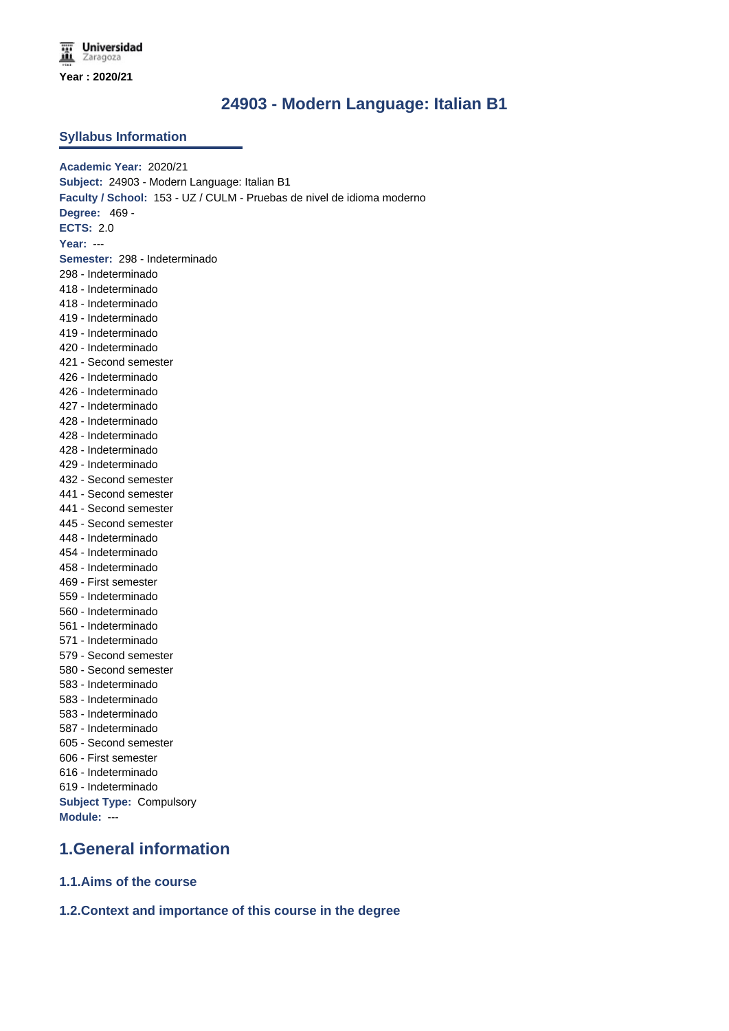### **24903 - Modern Language: Italian B1**

#### **Syllabus Information**

**Academic Year:** 2020/21 **Subject:** 24903 - Modern Language: Italian B1 **Faculty / School:** 153 - UZ / CULM - Pruebas de nivel de idioma moderno **Degree:** 469 - **ECTS:** 2.0 **Year:** --- **Semester:** 298 - Indeterminado 298 - Indeterminado 418 - Indeterminado 418 - Indeterminado 419 - Indeterminado 419 - Indeterminado 420 - Indeterminado 421 - Second semester 426 - Indeterminado 426 - Indeterminado 427 - Indeterminado 428 - Indeterminado 428 - Indeterminado 428 - Indeterminado 429 - Indeterminado 432 - Second semester 441 - Second semester 441 - Second semester 445 - Second semester 448 - Indeterminado 454 - Indeterminado 458 - Indeterminado 469 - First semester 559 - Indeterminado 560 - Indeterminado 561 - Indeterminado 571 - Indeterminado 579 - Second semester 580 - Second semester 583 - Indeterminado 583 - Indeterminado 583 - Indeterminado 587 - Indeterminado 605 - Second semester 606 - First semester 616 - Indeterminado 619 - Indeterminado **Subject Type:** Compulsory **Module:** ---

## **1.General information**

**1.1.Aims of the course**

**1.2.Context and importance of this course in the degree**